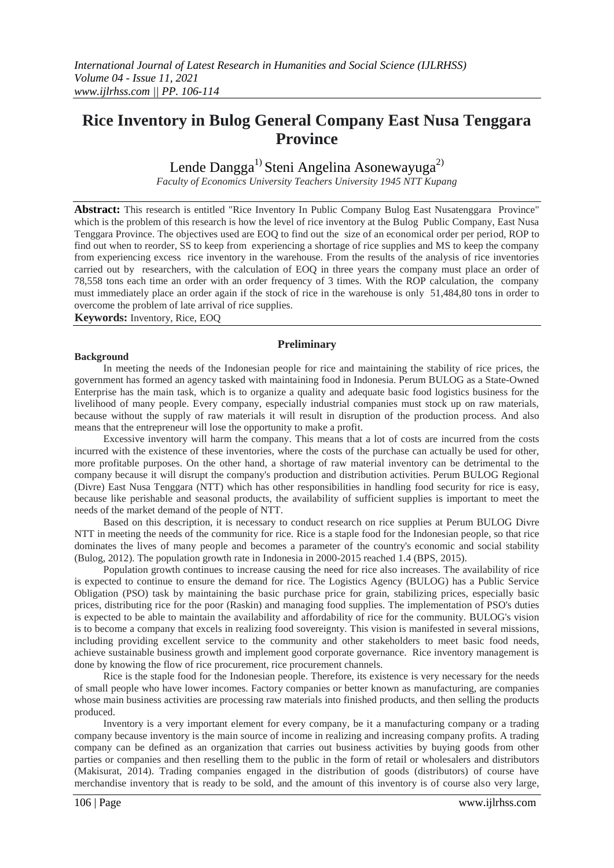# **Rice Inventory in Bulog General Company East Nusa Tenggara Province**

## Lende Dangga<sup>1)</sup> Steni Angelina Asonewayuga<sup>2)</sup>

*Faculty of Economics University Teachers University 1945 NTT Kupang* 

**Abstract:** This research is entitled "Rice Inventory In Public Company Bulog East Nusatenggara Province" which is the problem of this research is how the level of rice inventory at the Bulog Public Company, East Nusa Tenggara Province. The objectives used are EOQ to find out the size of an economical order per period, ROP to find out when to reorder, SS to keep from experiencing a shortage of rice supplies and MS to keep the company from experiencing excess rice inventory in the warehouse. From the results of the analysis of rice inventories carried out by researchers, with the calculation of EOQ in three years the company must place an order of 78,558 tons each time an order with an order frequency of 3 times. With the ROP calculation, the company must immediately place an order again if the stock of rice in the warehouse is only 51,484,80 tons in order to overcome the problem of late arrival of rice supplies.

**Keywords:** Inventory, Rice, EOQ

## **Preliminary**

### **Background**

In meeting the needs of the Indonesian people for rice and maintaining the stability of rice prices, the government has formed an agency tasked with maintaining food in Indonesia. Perum BULOG as a State-Owned Enterprise has the main task, which is to organize a quality and adequate basic food logistics business for the livelihood of many people. Every company, especially industrial companies must stock up on raw materials, because without the supply of raw materials it will result in disruption of the production process. And also means that the entrepreneur will lose the opportunity to make a profit.

Excessive inventory will harm the company. This means that a lot of costs are incurred from the costs incurred with the existence of these inventories, where the costs of the purchase can actually be used for other, more profitable purposes. On the other hand, a shortage of raw material inventory can be detrimental to the company because it will disrupt the company's production and distribution activities. Perum BULOG Regional (Divre) East Nusa Tenggara (NTT) which has other responsibilities in handling food security for rice is easy, because like perishable and seasonal products, the availability of sufficient supplies is important to meet the needs of the market demand of the people of NTT.

Based on this description, it is necessary to conduct research on rice supplies at Perum BULOG Divre NTT in meeting the needs of the community for rice. Rice is a staple food for the Indonesian people, so that rice dominates the lives of many people and becomes a parameter of the country's economic and social stability (Bulog, 2012). The population growth rate in Indonesia in 2000-2015 reached 1.4 (BPS, 2015).

Population growth continues to increase causing the need for rice also increases. The availability of rice is expected to continue to ensure the demand for rice. The Logistics Agency (BULOG) has a Public Service Obligation (PSO) task by maintaining the basic purchase price for grain, stabilizing prices, especially basic prices, distributing rice for the poor (Raskin) and managing food supplies. The implementation of PSO's duties is expected to be able to maintain the availability and affordability of rice for the community. BULOG's vision is to become a company that excels in realizing food sovereignty. This vision is manifested in several missions, including providing excellent service to the community and other stakeholders to meet basic food needs, achieve sustainable business growth and implement good corporate governance. Rice inventory management is done by knowing the flow of rice procurement, rice procurement channels.

Rice is the staple food for the Indonesian people. Therefore, its existence is very necessary for the needs of small people who have lower incomes. Factory companies or better known as manufacturing, are companies whose main business activities are processing raw materials into finished products, and then selling the products produced.

Inventory is a very important element for every company, be it a manufacturing company or a trading company because inventory is the main source of income in realizing and increasing company profits. A trading company can be defined as an organization that carries out business activities by buying goods from other parties or companies and then reselling them to the public in the form of retail or wholesalers and distributors (Makisurat, 2014). Trading companies engaged in the distribution of goods (distributors) of course have merchandise inventory that is ready to be sold, and the amount of this inventory is of course also very large,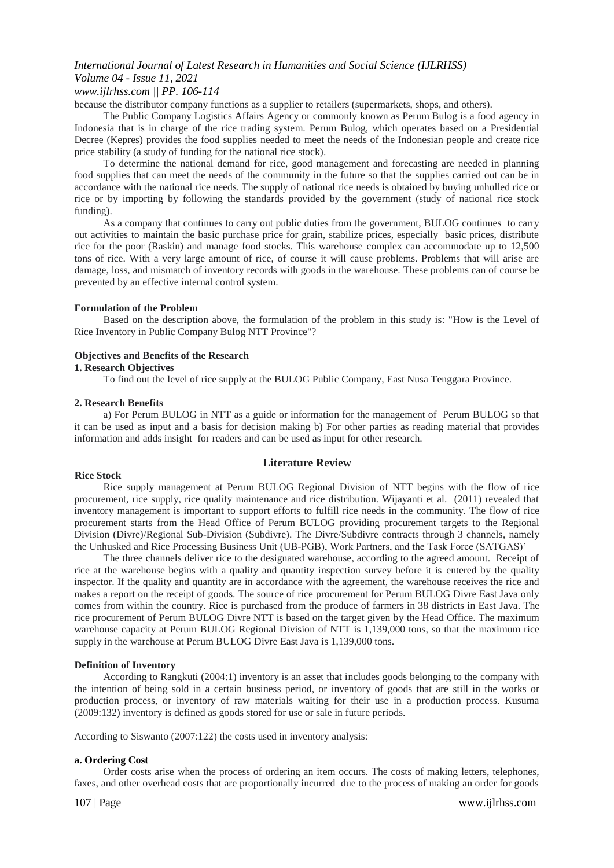## *www.ijlrhss.com || PP. 106-114*

because the distributor company functions as a supplier to retailers (supermarkets, shops, and others).

The Public Company Logistics Affairs Agency or commonly known as Perum Bulog is a food agency in Indonesia that is in charge of the rice trading system. Perum Bulog, which operates based on a Presidential Decree (Kepres) provides the food supplies needed to meet the needs of the Indonesian people and create rice price stability (a study of funding for the national rice stock).

To determine the national demand for rice, good management and forecasting are needed in planning food supplies that can meet the needs of the community in the future so that the supplies carried out can be in accordance with the national rice needs. The supply of national rice needs is obtained by buying unhulled rice or rice or by importing by following the standards provided by the government (study of national rice stock funding).

As a company that continues to carry out public duties from the government, BULOG continues to carry out activities to maintain the basic purchase price for grain, stabilize prices, especially basic prices, distribute rice for the poor (Raskin) and manage food stocks. This warehouse complex can accommodate up to 12,500 tons of rice. With a very large amount of rice, of course it will cause problems. Problems that will arise are damage, loss, and mismatch of inventory records with goods in the warehouse. These problems can of course be prevented by an effective internal control system.

#### **Formulation of the Problem**

Based on the description above, the formulation of the problem in this study is: "How is the Level of Rice Inventory in Public Company Bulog NTT Province"?

#### **Objectives and Benefits of the Research**

## **1. Research Objectives**

To find out the level of rice supply at the BULOG Public Company, East Nusa Tenggara Province.

#### **2. Research Benefits**

a) For Perum BULOG in NTT as a guide or information for the management of Perum BULOG so that it can be used as input and a basis for decision making b) For other parties as reading material that provides information and adds insight for readers and can be used as input for other research.

## **Literature Review**

#### **Rice Stock**

Rice supply management at Perum BULOG Regional Division of NTT begins with the flow of rice procurement, rice supply, rice quality maintenance and rice distribution. Wijayanti et al. (2011) revealed that inventory management is important to support efforts to fulfill rice needs in the community. The flow of rice procurement starts from the Head Office of Perum BULOG providing procurement targets to the Regional Division (Divre)/Regional Sub-Division (Subdivre). The Divre/Subdivre contracts through 3 channels, namely the Unhusked and Rice Processing Business Unit (UB-PGB), Work Partners, and the Task Force (SATGAS)'

The three channels deliver rice to the designated warehouse, according to the agreed amount. Receipt of rice at the warehouse begins with a quality and quantity inspection survey before it is entered by the quality inspector. If the quality and quantity are in accordance with the agreement, the warehouse receives the rice and makes a report on the receipt of goods. The source of rice procurement for Perum BULOG Divre East Java only comes from within the country. Rice is purchased from the produce of farmers in 38 districts in East Java. The rice procurement of Perum BULOG Divre NTT is based on the target given by the Head Office. The maximum warehouse capacity at Perum BULOG Regional Division of NTT is 1,139,000 tons, so that the maximum rice supply in the warehouse at Perum BULOG Divre East Java is 1,139,000 tons.

## **Definition of Inventory**

According to Rangkuti (2004:1) inventory is an asset that includes goods belonging to the company with the intention of being sold in a certain business period, or inventory of goods that are still in the works or production process, or inventory of raw materials waiting for their use in a production process. Kusuma (2009:132) inventory is defined as goods stored for use or sale in future periods.

According to Siswanto (2007:122) the costs used in inventory analysis:

## **a. Ordering Cost**

Order costs arise when the process of ordering an item occurs. The costs of making letters, telephones, faxes, and other overhead costs that are proportionally incurred due to the process of making an order for goods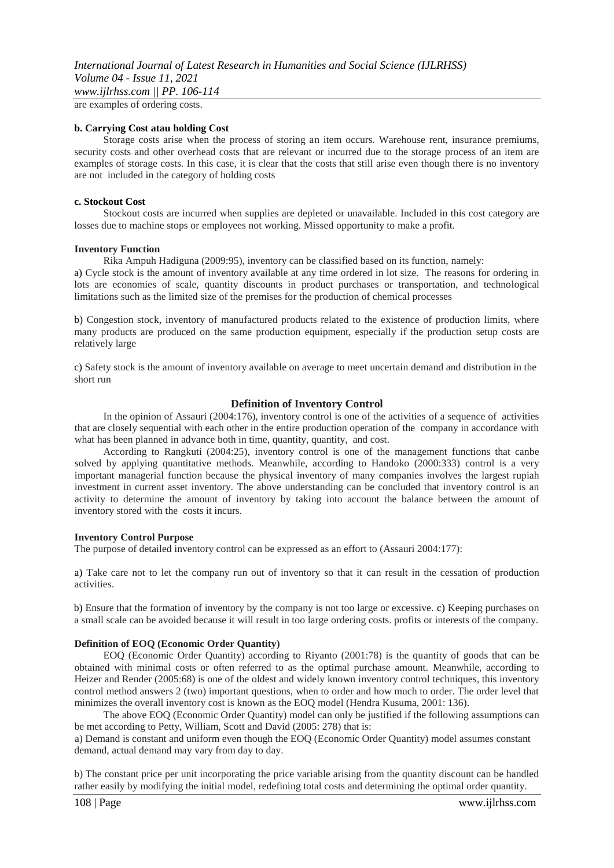are examples of ordering costs.

#### **b. Carrying Cost atau holding Cost**

Storage costs arise when the process of storing an item occurs. Warehouse rent, insurance premiums, security costs and other overhead costs that are relevant or incurred due to the storage process of an item are examples of storage costs. In this case, it is clear that the costs that still arise even though there is no inventory are not included in the category of holding costs

#### **c. Stockout Cost**

Stockout costs are incurred when supplies are depleted or unavailable. Included in this cost category are losses due to machine stops or employees not working. Missed opportunity to make a profit.

#### **Inventory Function**

Rika Ampuh Hadiguna (2009:95), inventory can be classified based on its function, namely:

a) Cycle stock is the amount of inventory available at any time ordered in lot size. The reasons for ordering in lots are economies of scale, quantity discounts in product purchases or transportation, and technological limitations such as the limited size of the premises for the production of chemical processes

b) Congestion stock, inventory of manufactured products related to the existence of production limits, where many products are produced on the same production equipment, especially if the production setup costs are relatively large

c) Safety stock is the amount of inventory available on average to meet uncertain demand and distribution in the short run

## **Definition of Inventory Control**

In the opinion of Assauri (2004:176), inventory control is one of the activities of a sequence of activities that are closely sequential with each other in the entire production operation of the company in accordance with what has been planned in advance both in time, quantity, quantity, and cost.

According to Rangkuti (2004:25), inventory control is one of the management functions that canbe solved by applying quantitative methods. Meanwhile, according to Handoko (2000:333) control is a very important managerial function because the physical inventory of many companies involves the largest rupiah investment in current asset inventory. The above understanding can be concluded that inventory control is an activity to determine the amount of inventory by taking into account the balance between the amount of inventory stored with the costs it incurs.

#### **Inventory Control Purpose**

The purpose of detailed inventory control can be expressed as an effort to (Assauri 2004:177):

a) Take care not to let the company run out of inventory so that it can result in the cessation of production activities.

b) Ensure that the formation of inventory by the company is not too large or excessive. c) Keeping purchases on a small scale can be avoided because it will result in too large ordering costs. profits or interests of the company.

## **Definition of EOQ (Economic Order Quantity)**

EOQ (Economic Order Quantity) according to Riyanto (2001:78) is the quantity of goods that can be obtained with minimal costs or often referred to as the optimal purchase amount. Meanwhile, according to Heizer and Render (2005:68) is one of the oldest and widely known inventory control techniques, this inventory control method answers 2 (two) important questions, when to order and how much to order. The order level that minimizes the overall inventory cost is known as the EOQ model (Hendra Kusuma, 2001: 136).

The above EOQ (Economic Order Quantity) model can only be justified if the following assumptions can be met according to Petty, William, Scott and David (2005: 278) that is:

a) Demand is constant and uniform even though the EOQ (Economic Order Quantity) model assumes constant demand, actual demand may vary from day to day.

b) The constant price per unit incorporating the price variable arising from the quantity discount can be handled rather easily by modifying the initial model, redefining total costs and determining the optimal order quantity.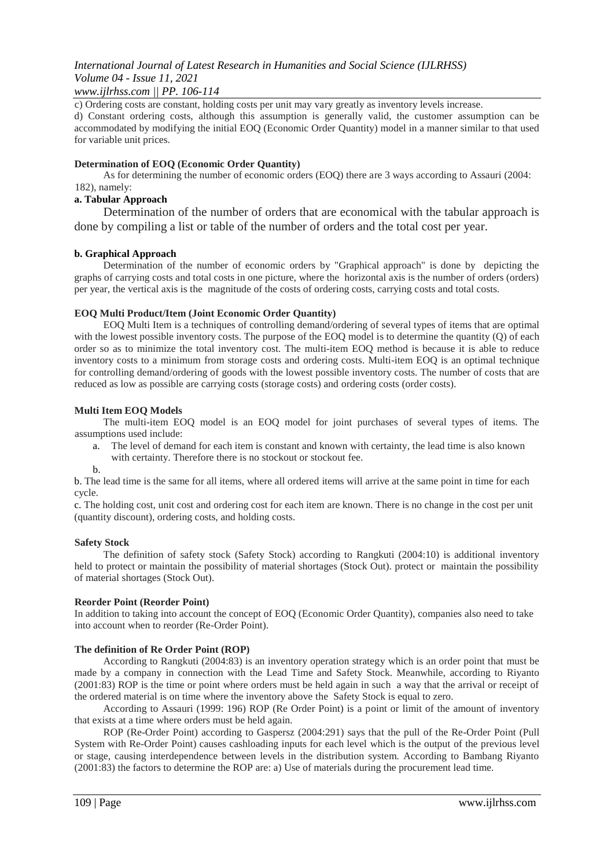## *www.ijlrhss.com || PP. 106-114*

c) Ordering costs are constant, holding costs per unit may vary greatly as inventory levels increase.

d) Constant ordering costs, although this assumption is generally valid, the customer assumption can be accommodated by modifying the initial EOQ (Economic Order Quantity) model in a manner similar to that used for variable unit prices.

## **Determination of EOQ (Economic Order Quantity)**

As for determining the number of economic orders (EOQ) there are 3 ways according to Assauri (2004: 182), namely:

## **a. Tabular Approach**

Determination of the number of orders that are economical with the tabular approach is done by compiling a list or table of the number of orders and the total cost per year.

## **b. Graphical Approach**

Determination of the number of economic orders by "Graphical approach" is done by depicting the graphs of carrying costs and total costs in one picture, where the horizontal axis is the number of orders (orders) per year, the vertical axis is the magnitude of the costs of ordering costs, carrying costs and total costs.

## **EOQ Multi Product/Item (Joint Economic Order Quantity)**

EOQ Multi Item is a techniques of controlling demand/ordering of several types of items that are optimal with the lowest possible inventory costs. The purpose of the EOQ model is to determine the quantity (Q) of each order so as to minimize the total inventory cost. The multi-item EOQ method is because it is able to reduce inventory costs to a minimum from storage costs and ordering costs. Multi-item EOQ is an optimal technique for controlling demand/ordering of goods with the lowest possible inventory costs. The number of costs that are reduced as low as possible are carrying costs (storage costs) and ordering costs (order costs).

## **Multi Item EOQ Models**

The multi-item EOQ model is an EOQ model for joint purchases of several types of items. The assumptions used include:

- a. The level of demand for each item is constant and known with certainty, the lead time is also known
	- with certainty. Therefore there is no stockout or stockout fee.
- b.

b. The lead time is the same for all items, where all ordered items will arrive at the same point in time for each cycle.

c. The holding cost, unit cost and ordering cost for each item are known. There is no change in the cost per unit (quantity discount), ordering costs, and holding costs.

## **Safety Stock**

The definition of safety stock (Safety Stock) according to Rangkuti (2004:10) is additional inventory held to protect or maintain the possibility of material shortages (Stock Out). protect or maintain the possibility of material shortages (Stock Out).

## **Reorder Point (Reorder Point)**

In addition to taking into account the concept of EOQ (Economic Order Quantity), companies also need to take into account when to reorder (Re-Order Point).

## **The definition of Re Order Point (ROP)**

According to Rangkuti (2004:83) is an inventory operation strategy which is an order point that must be made by a company in connection with the Lead Time and Safety Stock. Meanwhile, according to Riyanto (2001:83) ROP is the time or point where orders must be held again in such a way that the arrival or receipt of the ordered material is on time where the inventory above the Safety Stock is equal to zero.

According to Assauri (1999: 196) ROP (Re Order Point) is a point or limit of the amount of inventory that exists at a time where orders must be held again.

ROP (Re-Order Point) according to Gaspersz (2004:291) says that the pull of the Re-Order Point (Pull System with Re-Order Point) causes cashloading inputs for each level which is the output of the previous level or stage, causing interdependence between levels in the distribution system. According to Bambang Riyanto (2001:83) the factors to determine the ROP are: a) Use of materials during the procurement lead time.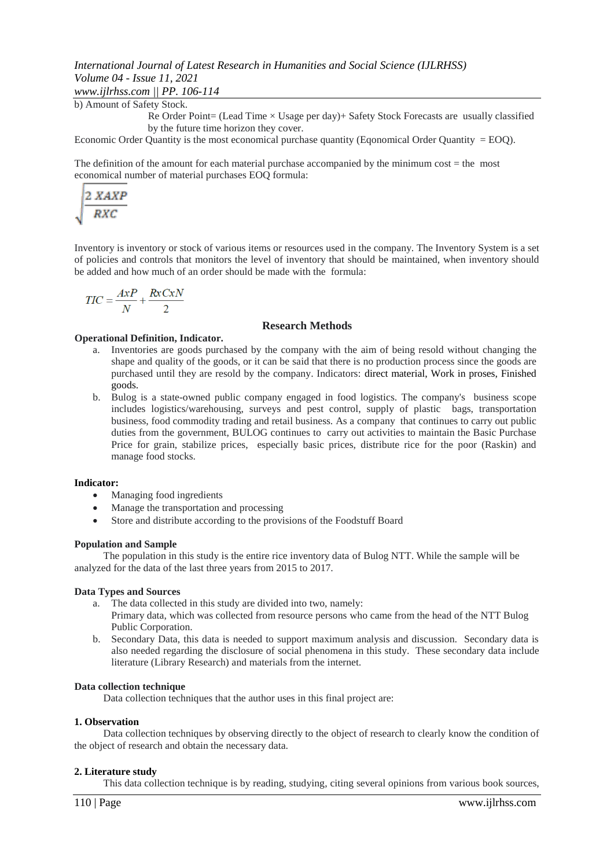*www.ijlrhss.com || PP. 106-114*

b) Amount of Safety Stock.

Re Order Point= (Lead Time  $\times$  Usage per day)+ Safety Stock Forecasts are usually classified by the future time horizon they cover.

Economic Order Quantity is the most economical purchase quantity (Eqonomical Order Quantity = EOQ).

The definition of the amount for each material purchase accompanied by the minimum cost = the most economical number of material purchases EOQ formula:

$$
\sqrt{\frac{2 \, XAXP}{RXC}}
$$

Inventory is inventory or stock of various items or resources used in the company. The Inventory System is a set of policies and controls that monitors the level of inventory that should be maintained, when inventory should be added and how much of an order should be made with the formula:

$$
TIC = \frac{AxP}{N} + \frac{RxCxN}{2}
$$

## **Research Methods**

## **Operational Definition, Indicator.**

- a. Inventories are goods purchased by the company with the aim of being resold without changing the shape and quality of the goods, or it can be said that there is no production process since the goods are purchased until they are resold by the company. Indicators: direct material, Work in proses, Finished goods.
- b. Bulog is a state-owned public company engaged in food logistics. The company's business scope includes logistics/warehousing, surveys and pest control, supply of plastic bags, transportation business, food commodity trading and retail business. As a company that continues to carry out public duties from the government, BULOG continues to carry out activities to maintain the Basic Purchase Price for grain, stabilize prices, especially basic prices, distribute rice for the poor (Raskin) and manage food stocks.

## **Indicator:**

- Managing food ingredients
- Manage the transportation and processing
- Store and distribute according to the provisions of the Foodstuff Board

## **Population and Sample**

The population in this study is the entire rice inventory data of Bulog NTT. While the sample will be analyzed for the data of the last three years from 2015 to 2017.

## **Data Types and Sources**

- a. The data collected in this study are divided into two, namely:
- Primary data, which was collected from resource persons who came from the head of the NTT Bulog Public Corporation.
- b. Secondary Data, this data is needed to support maximum analysis and discussion. Secondary data is also needed regarding the disclosure of social phenomena in this study. These secondary data include literature (Library Research) and materials from the internet.

## **Data collection technique**

Data collection techniques that the author uses in this final project are:

## **1. Observation**

Data collection techniques by observing directly to the object of research to clearly know the condition of the object of research and obtain the necessary data.

## **2. Literature study**

This data collection technique is by reading, studying, citing several opinions from various book sources,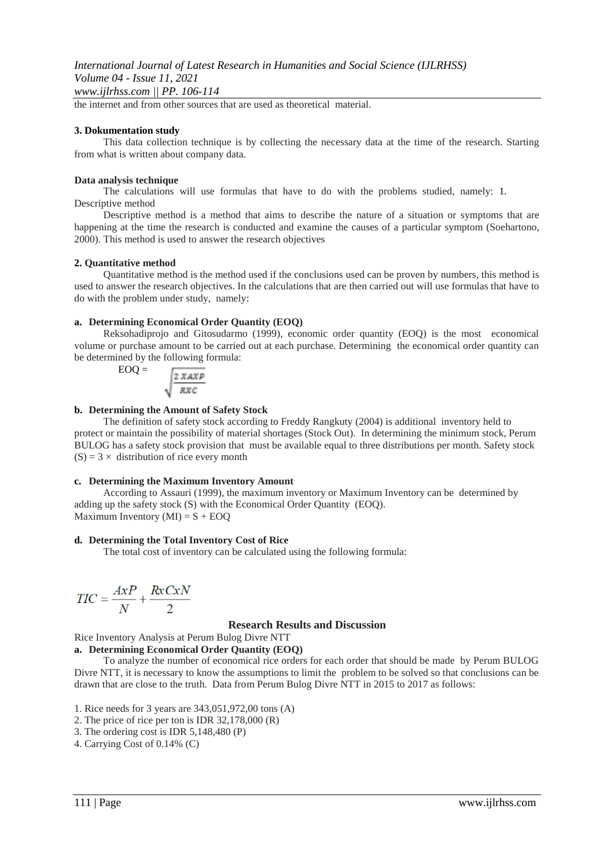the internet and from other sources that are used as theoretical material.

#### **3. Dokumentation study**

This data collection technique is by collecting the necessary data at the time of the research. Starting from what is written about company data.

#### **Data analysis technique**

The calculations will use formulas that have to do with the problems studied, namely: 1. Descriptive method

Descriptive method is a method that aims to describe the nature of a situation or symptoms that are happening at the time the research is conducted and examine the causes of a particular symptom (Soehartono, 2000). This method is used to answer the research objectives

#### **2. Quantitative method**

Quantitative method is the method used if the conclusions used can be proven by numbers, this method is used to answer the research objectives. In the calculations that are then carried out will use formulas that have to do with the problem under study, namely:

## **a. Determining Economical Order Quantity (EOQ)**

Reksohadiprojo and Gitosudarmo (1999), economic order quantity (EOQ) is the most economical volume or purchase amount to be carried out at each purchase. Determining the economical order quantity can be determined by the following formula:

$$
EOQ = \frac{2 \, X \, A \, X \, P}{R \, X \, C}
$$

#### **b. Determining the Amount of Safety Stock**

The definition of safety stock according to Freddy Rangkuty (2004) is additional inventory held to protect or maintain the possibility of material shortages (Stock Out). In determining the minimum stock, Perum BULOG has a safety stock provision that must be available equal to three distributions per month. Safety stock  $(S) = 3 \times$  distribution of rice every month

### **c. Determining the Maximum Inventory Amount**

According to Assauri (1999), the maximum inventory or Maximum Inventory can be determined by adding up the safety stock (S) with the Economical Order Quantity (EOQ). Maximum Inventory  $(MI) = S + EOQ$ 

#### **d. Determining the Total Inventory Cost of Rice**

The total cost of inventory can be calculated using the following formula:

$$
TIC = \frac{AxP}{N} + \frac{RxCxN}{2}
$$

#### **Research Results and Discussion**

Rice Inventory Analysis at Perum Bulog Divre NTT

## **a. Determining Economical Order Quantity (EOQ)**

To analyze the number of economical rice orders for each order that should be made by Perum BULOG Divre NTT, it is necessary to know the assumptions to limit the problem to be solved so that conclusions can be drawn that are close to the truth. Data from Perum Bulog Divre NTT in 2015 to 2017 as follows:

1. Rice needs for 3 years are 343,051,972,00 tons (A)

- 2. The price of rice per ton is IDR 32,178,000 (R)
- 3. The ordering cost is IDR 5,148,480 (P)
- 4. Carrying Cost of 0.14% (C)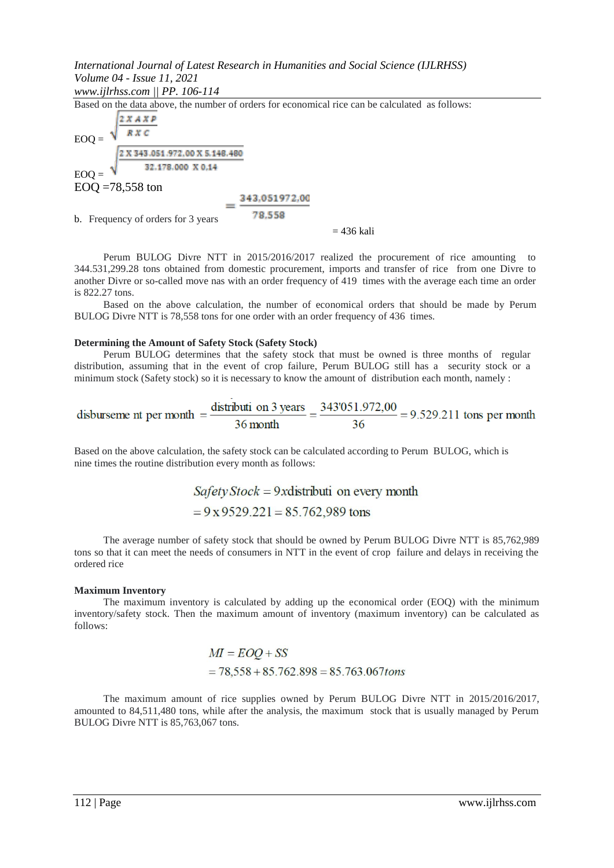*www.ijlrhss.com || PP. 106-114*

Based on the data above, the number of orders for economical rice can be calculated as follows:  $2x + x =$ 

$$
EOQ = \frac{\sqrt{\frac{2 \times 343.051.972,00 \times 5.148.480}{82.178.000 \times 5.148.480}}}{52.178.000 \times 0.14}
$$

EOQ =78,558 ton

$$
=\frac{343,051972,00}{78,558}
$$

b. Frequency of orders for 3 years

 $= 436$  kali

Perum BULOG Divre NTT in 2015/2016/2017 realized the procurement of rice amounting to 344.531,299.28 tons obtained from domestic procurement, imports and transfer of rice from one Divre to another Divre or so-called move nas with an order frequency of 419 times with the average each time an order is 822.27 tons.

Based on the above calculation, the number of economical orders that should be made by Perum BULOG Divre NTT is 78,558 tons for one order with an order frequency of 436 times.

## **Determining the Amount of Safety Stock (Safety Stock)**

Perum BULOG determines that the safety stock that must be owned is three months of regular distribution, assuming that in the event of crop failure, Perum BULOG still has a security stock or a minimum stock (Safety stock) so it is necessary to know the amount of distribution each month, namely :

disburseme nt per month 
$$
=
$$
  $\frac{\text{distributi on 3 years}}{36 \text{ month}} = \frac{343'051.972,00}{36} = 9.529.211 \text{ tons per month}$ 

Based on the above calculation, the safety stock can be calculated according to Perum BULOG, which is nine times the routine distribution every month as follows:

> $Safety Stock = 9x$  distributi on every month  $= 9x 9529.221 = 85.762,989$  tons

The average number of safety stock that should be owned by Perum BULOG Divre NTT is 85,762,989 tons so that it can meet the needs of consumers in NTT in the event of crop failure and delays in receiving the ordered rice

## **Maximum Inventory**

The maximum inventory is calculated by adding up the economical order (EOQ) with the minimum inventory/safety stock. Then the maximum amount of inventory (maximum inventory) can be calculated as follows:

$$
MI = EOQ + SS
$$
  
= 78,558 + 85.762.898 = 85.763.067tons

The maximum amount of rice supplies owned by Perum BULOG Divre NTT in 2015/2016/2017, amounted to 84,511,480 tons, while after the analysis, the maximum stock that is usually managed by Perum BULOG Divre NTT is 85,763,067 tons.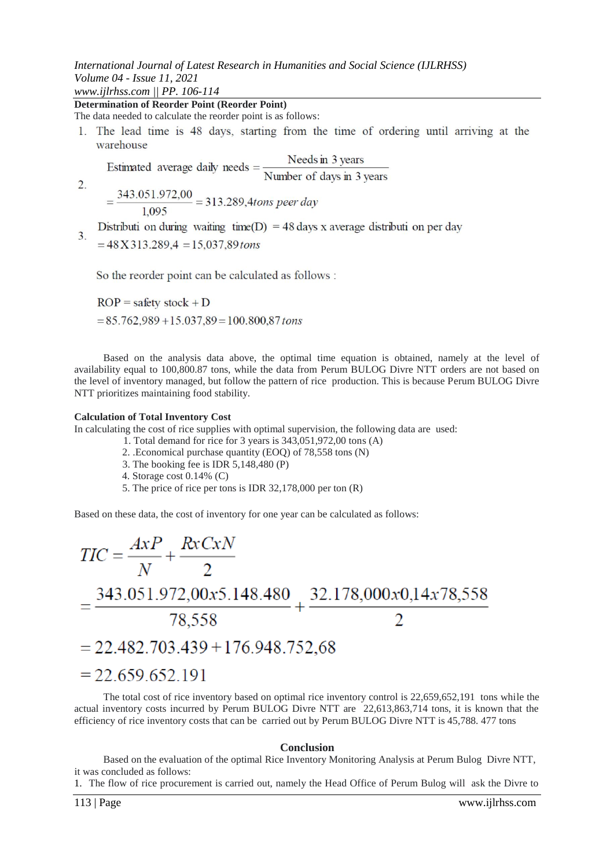*www.ijlrhss.com || PP. 106-114*

2.

**Determination of Reorder Point (Reorder Point)** 

The data needed to calculate the reorder point is as follows:

1. The lead time is 48 days, starting from the time of ordering until arriving at the warehouse

Estimated average daily needs =  $\frac{\text{Needs in 3 years}}{\text{Number of days in 3 years}}$ 

 $=\frac{343.051.972.00}{1.005}$  = 313.289,4tons peer day 1.095

Distributi on during waiting time(D) = 48 days x average distributi on per day  $3.$ 

 $= 48 X 313.289.4 = 15.037.89$  tons

So the reorder point can be calculated as follows :

 $ROP = safety stock + D$  $= 85.762,989 + 15.037,89 = 100.800,87$  tons

Based on the analysis data above, the optimal time equation is obtained, namely at the level of availability equal to 100,800.87 tons, while the data from Perum BULOG Divre NTT orders are not based on the level of inventory managed, but follow the pattern of rice production. This is because Perum BULOG Divre NTT prioritizes maintaining food stability.

## **Calculation of Total Inventory Cost**

In calculating the cost of rice supplies with optimal supervision, the following data are used:

- 1. Total demand for rice for 3 years is 343,051,972,00 tons (A)
- 2. .Economical purchase quantity (EOQ) of 78,558 tons (N)
- 3. The booking fee is IDR 5,148,480 (P)
- 4. Storage cost 0.14% (C)
- 5. The price of rice per tons is IDR 32,178,000 per ton (R)

Based on these data, the cost of inventory for one year can be calculated as follows:

$$
TIC = \frac{AxP}{N} + \frac{RxCxN}{2}
$$
  
=  $\frac{343.051.972,00x5.148.480}{78,558} + \frac{32.178,000x0,14x78,558}{2}$   
= 22.482.703.439 + 176.948.752,68  
= 22.659.652.191

The total cost of rice inventory based on optimal rice inventory control is 22,659,652,191 tons while the actual inventory costs incurred by Perum BULOG Divre NTT are 22,613,863,714 tons, it is known that the efficiency of rice inventory costs that can be carried out by Perum BULOG Divre NTT is 45,788. 477 tons

## **Conclusion**

Based on the evaluation of the optimal Rice Inventory Monitoring Analysis at Perum Bulog Divre NTT, it was concluded as follows:

1. The flow of rice procurement is carried out, namely the Head Office of Perum Bulog will ask the Divre to